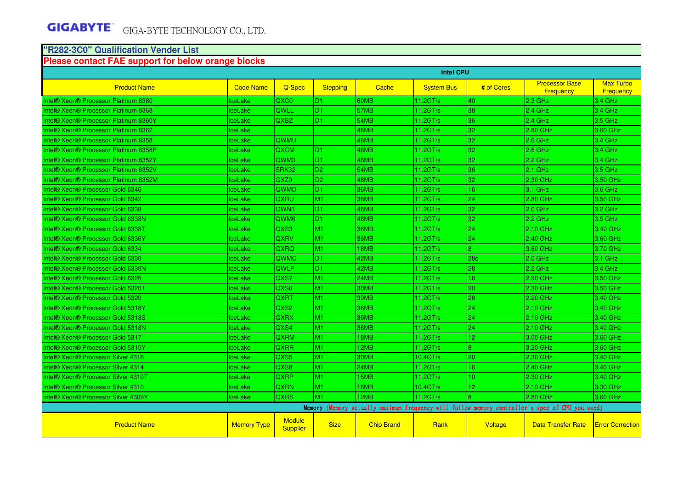#### **"R282-3C0" Qualification Vender List**

#### **Please contact FAE support for below orange blocks**

|                                                             |                    |                                  |                 |                   | <b>Intel CPU</b>  |                 |                                                                                                 |                                      |
|-------------------------------------------------------------|--------------------|----------------------------------|-----------------|-------------------|-------------------|-----------------|-------------------------------------------------------------------------------------------------|--------------------------------------|
| <b>Product Name</b>                                         | <b>Code Name</b>   | Q-Spec                           | <b>Stepping</b> | Cache             | <b>System Bus</b> | # of Cores      | <b>Processor Base</b><br>Frequency                                                              | <b>Max Turbo</b><br><b>Frequency</b> |
| <b>Intel® Xeon® Processor Platinum 8380</b>                 | ceLake             | QXC0                             | D <sub>1</sub>  | 60MB              | 11.2GT/s          | 40              | $2.3$ GHz                                                                                       | 3.4 GHz                              |
| <b>Intel® Xeon® Processor Platinum 8368</b>                 | lceLake            | QWLL                             | D <sub>1</sub>  | 57MB              | 11.2GT/s          | 38              | $2.4$ GHz                                                                                       | $3.4$ GHz                            |
| Intel® Xeon® Processor Platinum 8360Y                       | IceLake            | QXBZ                             | D <sub>1</sub>  | 54MB              | 11.2GT/s          | 36              | 2.4 GHz                                                                                         | $3.5$ GHz                            |
| <b>Intel® Xeon® Processor Platinum 8362</b>                 | <b>IceLake</b>     |                                  |                 | 48MB              | 11.2GT/s          | 32              | 2.80 GHz                                                                                        | 3.60 GHz                             |
| Intel® Xeon® Processor Platinum 8358                        | lceLake            | OWMU                             |                 | 48MB              | 11.2GT/s          | 32              | $2.6$ GHz                                                                                       | $3.4$ GHz                            |
| Intel® Xeon® Processor Platinum 8358P                       | ceLake             | QXCM                             | D <sub>1</sub>  | 48MB              | 11.2GT/s          | 32              | $2.6$ GHz                                                                                       | 3.4 GHz                              |
| <b>Intel® Xeon® Processor Platinum 8352Y</b>                | IceLake            | QWM3                             | D <sub>1</sub>  | 48MB              | 11.2GT/s          | 32              | $2.2$ GHz                                                                                       | 3.4 GHz                              |
| <b>Intel® Xeon® Processor Platinum 8352V</b>                | lceLake            | SRK32                            | D <sub>2</sub>  | 54MB              | 11.2GT/s          | 36              | $2.1$ GHz                                                                                       | $3.5$ GHz                            |
| Intel® Xeon® Processor Platinum 8352M                       | <b>IceLake</b>     | QXZ0                             | D <sub>2</sub>  | 48MB              | 11.2GT/s          | 32              | 2.30 GHz                                                                                        | 3.50 GHz                             |
| Intel® Xeon® Processor Gold 6346                            | <b>ceLake</b>      | QWMD                             | D <sub>1</sub>  | <b>36MB</b>       | 11.2GT/s          | 16              | $3.1$ GHz                                                                                       | 3.6 GHz                              |
| Intel <sup>®</sup> Xeon <sup>®</sup> Processor Gold 6342    | IceLake            | QXRU                             | M <sub>1</sub>  | <b>36MB</b>       | 11.2GT/s          | 24              | 2.80 GHz                                                                                        | 3.50 GHz                             |
| Intel® Xeon® Processor Gold 6338                            | ceLake             | QWN3                             | D <sub>1</sub>  | 48MB              | 11.2GT/s          | 32              | $2.0$ GHz                                                                                       | 3.2 GHz                              |
| <b>Intel® Xeon® Processor Gold 6338N</b>                    | <b>IceLake</b>     | QWM6                             | D <sub>1</sub>  | 48MB              | 11.2GT/s          | 32              | $2.2$ GHz                                                                                       | $3.5$ GHz                            |
| Intel <sup>®</sup> Xeon <sup>®</sup> Processor Gold 6338T   | <b>IceLake</b>     | QXS3                             | M <sub>1</sub>  | <b>36MB</b>       | 11.2GT/s          | 24              | 2.10 GHz                                                                                        | 3.40 GHz                             |
| Intel® Xeon® Processor Gold 6336Y                           | <b>IceLake</b>     | QXRV                             | M <sub>1</sub>  | <b>36MB</b>       | 11.2GT/s          | 24              | 2.40 GHz                                                                                        | 3.60 GHz                             |
| Intel® Xeon® Processor Gold 6334                            | IceLake            | QXRQ                             | M1              | 18MB              | 11.2GT/s          | $\overline{8}$  | 3.60 GHz                                                                                        | 3.70 GHz                             |
| Intel® Xeon® Processor Gold 6330                            | IceLake            | QWMC                             | D1              | 42MB              | 11.2GT/s          | 28 <sub>c</sub> | $2.0$ GHz                                                                                       | 3.1 GHz                              |
| Intel® Xeon® Processor Gold 6330N                           | <b>IceLake</b>     | QWLP                             | D <sub>1</sub>  | 42MB              | 11.2GT/s          | 28              | $2.2$ GHz                                                                                       | $3.4$ GHz                            |
| Intel® Xeon® Processor Gold 6326                            | IceLake            | QXS7                             | M <sub>1</sub>  | 24MB              | 11.2GT/s          | 16              | 2.90 GHz                                                                                        | 3.50 GHz                             |
| Intel <sup>®</sup> Xeon <sup>®</sup> Processor Gold 5320T   | IceLake            | QXS6                             | M <sub>1</sub>  | 30MB              | 11.2GT/s          | 20              | 2.30 GHz                                                                                        | 3.50 GHz                             |
| Intel <sup>®</sup> Xeon <sup>®</sup> Processor Gold 5320    | IceLake            | QXRT                             | M <sub>1</sub>  | 39MB              | 11.2GT/s          | 26              | 2.20 GHz                                                                                        | 3.40 GHz                             |
| Intel <sup>®</sup> Xeon <sup>®</sup> Processor Gold 5318Y   | <b>IceLake</b>     | QXS2                             | M <sub>1</sub>  | <b>36MB</b>       | 11.2GT/s          | 24              | $2.10$ GHz                                                                                      | 3.40 GHz                             |
| Intel <sup>®</sup> Xeon <sup>®</sup> Processor Gold 5318S   | lceLake            | QXRX                             | M <sub>1</sub>  | 36MB              | 11.2GT/s          | 24              | 2.10 GHz                                                                                        | 3.40 GHz                             |
| <b>Intel® Xeon® Processor Gold 5318N</b>                    | lceLake            | QXS4                             | M1              | 36MB              | 11.2GT/s          | 24              | 2.10 GHz                                                                                        | 3.40 GHz                             |
| Intel <sup>®</sup> Xeon <sup>®</sup> Processor Gold 5317    | lceLake            | QXRM                             | M <sub>1</sub>  | 18MB              | 11.2GT/s          | 12              | 3.00 GHz                                                                                        | 3.60 GHz                             |
| Intel® Xeon® Processor Gold 5315Y                           | lceLake            | QXRR                             | M <sub>1</sub>  | 12MB              | 11.2GT/s          | $\overline{8}$  | 3.20 GHz                                                                                        | 3.60 GHz                             |
| <b>Intel® Xeon® Processor Silver 4316</b>                   | lceLake            | QXS5                             | M <sub>1</sub>  | 30MB              | 10.4GT/s          | 20              | 2.30 GHz                                                                                        | 3.40 GHz                             |
| Intel <sup>®</sup> Xeon <sup>®</sup> Processor Silver 4314  | lceLake            | QXS8                             | M <sub>1</sub>  | <b>24MB</b>       | 11.2GT/s          | 16              | 2.40 GHz                                                                                        | 3.40 GHz                             |
| Intel <sup>®</sup> Xeon <sup>®</sup> Processor Silver 4310T | ceLake             | QXRP                             | M1              | 15MB              | 11.2GT/s          | 10 <sup>°</sup> | 2.30 GHz                                                                                        | 3.40 GHz                             |
| Intel <sup>®</sup> Xeon <sup>®</sup> Processor Silver 4310  | lceLake            | QXRN                             | M <sub>1</sub>  | 18MB              | 10.4GT/s          | 12              | 2.10 GHz                                                                                        | 3.30 GHz                             |
| <b>Intel® Xeon® Processor Silver 4309Y</b>                  | lceLake            | <b>QXRS</b>                      | İM1             | 12MB              | 11.2GT/s          | <b>R</b>        | 2.80 GHz                                                                                        | 3.60 GHz                             |
|                                                             |                    |                                  |                 |                   |                   |                 | Memory (Memory actually maximum frequency will follow memory controller's spec of CPU you used) |                                      |
| <b>Product Name</b>                                         | <b>Memory Type</b> | <b>Module</b><br><b>Supplier</b> | <b>Size</b>     | <b>Chip Brand</b> | Rank              | <b>Voltage</b>  | <b>Data Transfer Rate</b>                                                                       | <b>Error Correction</b>              |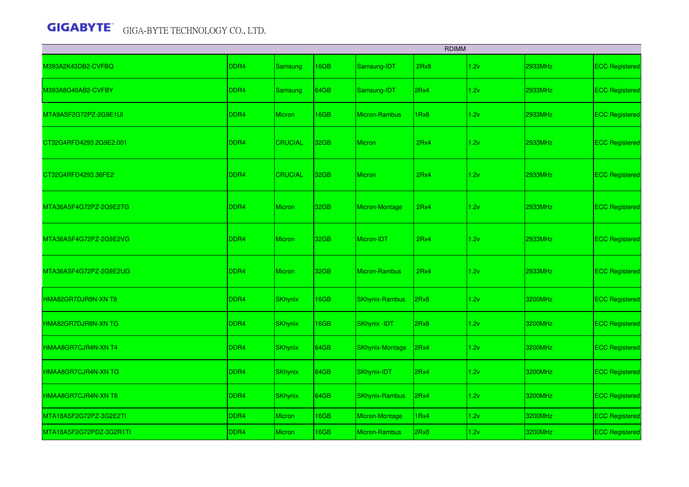|                         |                  |                |             |                        | <b>RDIMM</b> |      |                |                       |
|-------------------------|------------------|----------------|-------------|------------------------|--------------|------|----------------|-----------------------|
| M393A2K43DB2-CVFBQ      | DDR4             | <b>Samsung</b> | 16GB        | Samsung-IDT            | 2Rx8         | 1.2v | 2933MHz        | <b>ECC Registered</b> |
| M393A8G40AB2-CVFBY      | DDR4             | Samsung        | 64GB        | Samsung-IDT            | 2Rx4         | 1.2v | 2933MHz        | <b>ECC Registered</b> |
| MTA9ASF2G72PZ-2G9E1UI   | DDR4             | <b>Micron</b>  | 16GB        | <b>Micron-Rambus</b>   | 1Rx8         | 1.2v | 2933MHz        | <b>ECC Registered</b> |
| CT32G4RFD4293.2G9E2.001 | DDR4             | <b>CRUCIAL</b> | 32GB        | <b>Micron</b>          | 2Rx4         | 1.2v | 2933MHz        | <b>ECC Registered</b> |
| CT32G4RFD4293.36FE2     | DDR <sub>4</sub> | <b>CRUCIAL</b> | 32GB        | <b>Micron</b>          | 2Rx4         | 1.2v | 2933MHz        | <b>ECC Registered</b> |
| MTA36ASF4G72PZ-2G9E2TG  | DDR <sub>4</sub> | Micron         | 32GB        | Micron-Montage         | 2Rx4         | 1.2v | 2933MHz        | <b>ECC Registered</b> |
| MTA36ASF4G72PZ-2G9E2VG  | DDR4             | <b>Micron</b>  | 32GB        | Micron-IDT             | 2Rx4         | 1.2v | <b>2933MHz</b> | <b>ECC Registered</b> |
| MTA36ASF4G72PZ-2G9E2UG  | DDR4             | <b>Micron</b>  | 32GB        | <b>Micron-Rambus</b>   | 2Rx4         | 1.2v | <b>2933MHz</b> | <b>ECC Registered</b> |
| HMA82GR7DJR8N-XN T8     | DDR4             | <b>SKhynix</b> | 16GB        | <b>SKhynix-Rambus</b>  | 2Rx8         | 1.2v | 3200MHz        | <b>ECC Registered</b> |
| HMA82GR7DJR8N-XN TG     | DDR4             | <b>SKhynix</b> | 16GB        | <b>SKhynix -IDT</b>    | 2Rx8         | 1.2v | 3200MHz        | <b>ECC Registered</b> |
| HMAA8GR7CJR4N-XN T4     | DDR4             | <b>SKhynix</b> | 64GB        | <b>SKhynix-Montage</b> | 2Rx4         | 1.2v | 3200MHz        | <b>ECC Registered</b> |
| HMAA8GR7CJR4N-XN TG     | DDR4             | <b>SKhynix</b> | 64GB        | SKhynix-IDT            | 2Rx4         | 1.2v | 3200MHz        | <b>ECC Registered</b> |
| HMAA8GR7CJR4N-XN T8     | DDR4             | <b>SKhynix</b> | <b>64GB</b> | <b>SKhynix-Rambus</b>  | 2Rx4         | 1.2v | 3200MHz        | <b>ECC Registered</b> |
| MTA18ASF2G72PZ-3G2E2TI  | DDR4             | <b>Micron</b>  | 16GB        | Micron-Montage         | 1Rx4         | 1.2v | 3200MHz        | <b>ECC Registered</b> |
| MTA18ASF2G72PDZ-3G2R1TI | DDR <sub>4</sub> | Micron         | 16GB        | <b>Micron-Rambus</b>   | 2Rx8         | 1.2v | 3200MHz        | <b>ECC Registered</b> |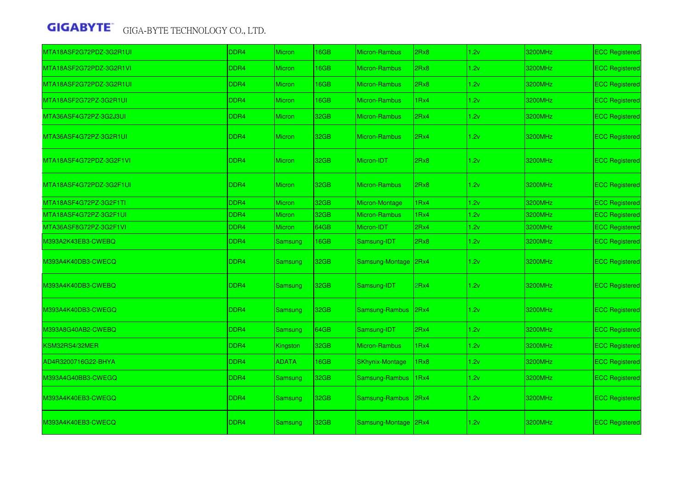| MTA18ASF2G72PDZ-3G2R1UI | DDR <sub>4</sub> | Micron         | 16GB | <b>Micron-Rambus</b>   | 2Rx8 | 1.2v | 3200MHz | <b>ECC Registered</b> |
|-------------------------|------------------|----------------|------|------------------------|------|------|---------|-----------------------|
| MTA18ASF2G72PDZ-3G2R1VI | DDR4             | <b>Micron</b>  | 16GB | <b>Micron-Rambus</b>   | 2Rx8 | 1.2v | 3200MHz | <b>ECC Registered</b> |
| MTA18ASF2G72PDZ-3G2R1UI | DDR4             | Micron         | 16GB | <b>Micron-Rambus</b>   | 2Rx8 | 1.2v | 3200MHz | <b>ECC Registered</b> |
| MTA18ASF2G72PZ-3G2R1UI  | DDR4             | Micron         | 16GB | <b>Micron-Rambus</b>   | 1Rx4 | 1.2v | 3200MHz | <b>ECC Registered</b> |
| MTA36ASF4G72PZ-3G2J3UI  | DDR4             | Micron         | 32GB | <b>Micron-Rambus</b>   | 2Rx4 | 1.2v | 3200MHz | <b>ECC Registered</b> |
| MTA36ASF4G72PZ-3G2R1UI  | DDR4             | Micron         | 32GB | <b>Micron-Rambus</b>   | 2Rx4 | 1.2v | 3200MHz | <b>ECC Registered</b> |
| MTA18ASF4G72PDZ-3G2F1VI | DDR <sub>4</sub> | Micron         | 32GB | Micron-IDT             | 2Rx8 | 1.2v | 3200MHz | <b>ECC Registered</b> |
| MTA18ASF4G72PDZ-3G2F1UI | DDR4             | <b>Micron</b>  | 32GB | <b>Micron-Rambus</b>   | 2Rx8 | 1.2v | 3200MHz | <b>ECC Registered</b> |
| MTA18ASF4G72PZ-3G2F1TI  | DDR4             | <b>Micron</b>  | 32GB | Micron-Montage         | 1Rx4 | 1.2v | 3200MHz | <b>ECC Registered</b> |
| MTA18ASF4G72PZ-3G2F1UI  | DDR4             | <b>Micron</b>  | 32GB | <b>Micron-Rambus</b>   | 1Rx4 | 1.2v | 3200MHz | <b>ECC Registered</b> |
| MTA36ASF8G72PZ-3G2F1VI  | DDR4             | <b>Micron</b>  | 64GB | Micron-IDT             | 2Rx4 | 1.2v | 3200MHz | <b>ECC Registered</b> |
| M393A2K43EB3-CWEBQ      | DDR4             | Samsung        | 16GB | Samsung-IDT            | 2Rx8 | 1.2v | 3200MHz | <b>ECC Registered</b> |
| M393A4K40DB3-CWECQ      | DDR4             | Samsung        | 32GB | Samsung-Montage        | 2Rx4 | 1.2v | 3200MHz | <b>ECC Registered</b> |
| M393A4K40DB3-CWEBQ      | DDR <sub>4</sub> | Samsung        | 32GB | Samsung-IDT            | 2Rx4 | 1.2v | 3200MHz | <b>ECC Registered</b> |
| M393A4K40DB3-CWEGQ      | DDR4             | Samsung        | 32GB | Samsung-Rambus         | 2Rx4 | 1.2v | 3200MHz | <b>ECC Registered</b> |
| M393A8G40AB2-CWEBQ      | DDR4             | <b>Samsung</b> | 64GB | Samsung-IDT            | 2Rx4 | 1.2v | 3200MHz | <b>ECC Registered</b> |
| KSM32RS4/32MER          | DDR4             | Kingston       | 32GB | <b>Micron-Rambus</b>   | 1Rx4 | 1.2v | 3200MHz | <b>ECC Registered</b> |
| AD4R3200716G22-BHYA     | DDR <sub>4</sub> | <b>ADATA</b>   | 16GB | <b>SKhynix-Montage</b> | 1Rx8 | 1.2v | 3200MHz | <b>ECC Registered</b> |
| M393A4G40BB3-CWEGQ      | DDR4             | Samsung        | 32GB | Samsung-Rambus         | 1Rx4 | 1.2v | 3200MHz | <b>ECC Registered</b> |
| M393A4K40EB3-CWEGQ      | DDR4             | Samsung        | 32GB | Samsung-Rambus         | 2Rx4 | 1.2v | 3200MHz | <b>ECC Registered</b> |
| M393A4K40EB3-CWECQ      | DDR4             | <b>Samsung</b> | 32GB | Samsung-Montage        | 2Rx4 | 1.2v | 3200MHz | <b>ECC Registered</b> |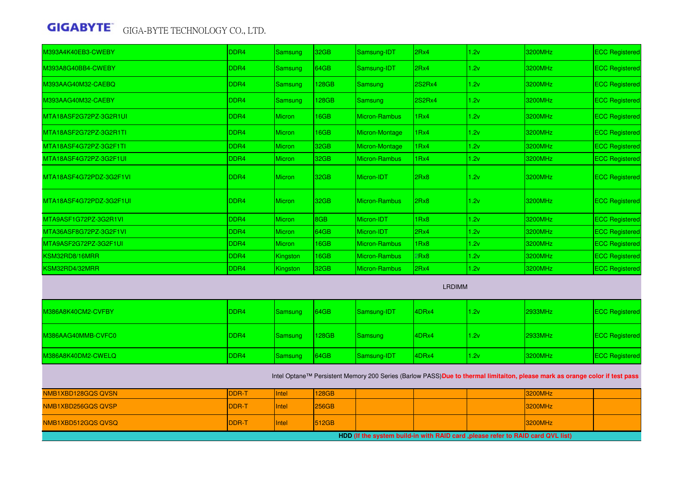| M393A4K40EB3-CWEBY      | DDR <sub>4</sub> | <b>Samsung</b> | 32GB  | Samsung-IDT          | 2Rx4          | 1.2v | 3200MHz | <b>ECC Registered</b> |
|-------------------------|------------------|----------------|-------|----------------------|---------------|------|---------|-----------------------|
| M393A8G40BB4-CWEBY      | DDR <sub>4</sub> | <b>Samsung</b> | 64GB  | Samsung-IDT          | 2Rx4          | 1.2v | 3200MHz | <b>ECC Registered</b> |
| M393AAG40M32-CAEBQ      | DDR <sub>4</sub> | <b>Samsung</b> | 128GB | <b>Samsung</b>       | <b>2S2Rx4</b> | 1.2v | 3200MHz | <b>ECC Registered</b> |
| M393AAG40M32-CAEBY      | DDR <sub>4</sub> | Samsung        | 128GB | Samsung              | 2S2Rx4        | 1.2v | 3200MHz | <b>ECC Registered</b> |
| MTA18ASF2G72PZ-3G2R1UI  | DDR <sub>4</sub> | <b>Micron</b>  | 16GB  | <b>Micron-Rambus</b> | 1Rx4          | 1.2v | 3200MHz | <b>ECC Registered</b> |
| MTA18ASF2G72PZ-3G2R1TI  | DDR <sub>4</sub> | <b>Micron</b>  | 16GB  | Micron-Montage       | 1Rx4          | 1.2v | 3200MHz | <b>ECC Registered</b> |
| MTA18ASF4G72PZ-3G2F1TI  | DDR <sub>4</sub> | <b>Micron</b>  | 32GB  | Micron-Montage       | 1Rx4          | 1.2v | 3200MHz | <b>ECC Registered</b> |
| MTA18ASF4G72PZ-3G2F1UI  | DDR <sub>4</sub> | <b>Micron</b>  | 32GB  | <b>Micron-Rambus</b> | 1Rx4          | 1.2v | 3200MHz | <b>ECC Registered</b> |
| MTA18ASF4G72PDZ-3G2F1VI | DDR <sub>4</sub> | <b>Micron</b>  | 32GB  | Micron-IDT           | 2Rx8          | 1.2v | 3200MHz | <b>ECC Registered</b> |
| MTA18ASF4G72PDZ-3G2F1UI | DDR <sub>4</sub> | <b>Micron</b>  | 32GB  | <b>Micron-Rambus</b> | 2Rx8          | 1.2v | 3200MHz | <b>ECC Registered</b> |
| MTA9ASF1G72PZ-3G2R1VI   | DDR4             | <b>Micron</b>  | 8GB   | Micron-IDT           | 1Rx8          | 1.2v | 3200MHz | <b>ECC Registered</b> |
| MTA36ASF8G72PZ-3G2F1VI  | DDR <sub>4</sub> | <b>Micron</b>  | 64GB  | Micron-IDT           | 2Rx4          | 1.2v | 3200MHz | <b>ECC Registered</b> |
| MTA9ASF2G72PZ-3G2F1UI   | DDR <sub>4</sub> | <b>Micron</b>  | 16GB  | <b>Micron-Rambus</b> | 1Rx8          | 1.2v | 3200MHz | <b>ECC Registered</b> |
| KSM32RD8/16MRR          | DDR <sub>4</sub> | Kingston       | 16GB  | <b>Micron-Rambus</b> | 2Rx8          | 1.2v | 3200MHz | <b>ECC Registered</b> |
| KSM32RD4/32MRR          | DDR <sub>4</sub> | Kingston       | 32GB  | Micron-Rambus        | 2Rx4          | 1.2v | 3200MHz | <b>ECC Registered</b> |
|                         |                  |                |       |                      | <b>LRDIMM</b> |      |         |                       |
| M386A8K40CM2-CVFBY      | DDR <sub>4</sub> | <b>Samsung</b> | 64GB  | Samsung-IDT          | 4DRx4         | 1.2v | 2933MHz | <b>ECC Registered</b> |
| M386AAG40MMB-CVFC0      | DDR <sub>4</sub> | Samsung        | 128GB | Samsung              | 4DRx4         | 1.2v | 2933MHz | <b>ECC Registered</b> |
| M386A8K40DM2-CWELQ      | DDR <sub>4</sub> | <b>Samsung</b> | 64GB  | Samsung-IDT          | 4DRx4         | 1.2v | 3200MHz | <b>ECC Registered</b> |

Intel Optane™ Persistent Memory 200 Series (Barlow PASS)**Due to thermal limitaiton, please mark as orange color if test pass**

| NMB1XBD128GQS QVSN                                                               | <b>DDR-T</b>  | <b>Ilntel</b> | 128GB        |  |  |  | 3200MHz        |  |
|----------------------------------------------------------------------------------|---------------|---------------|--------------|--|--|--|----------------|--|
| NMB1XBD256GQSQVSP                                                                | <b>IDDR-T</b> | <b>Ilntel</b> | 256GB        |  |  |  | <b>3200MHz</b> |  |
| NMB1XBD512GQS QVSQ                                                               | <b>IDDR-T</b> | <b>Ilntel</b> | <b>512GB</b> |  |  |  | <b>3200MHz</b> |  |
| HDD (If the system build-in with RAID card , please refer to RAID card QVL list) |               |               |              |  |  |  |                |  |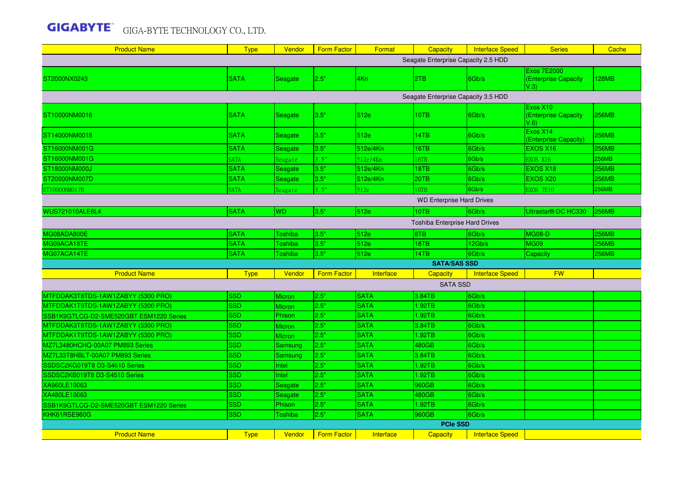| <b>Product Name</b>                     | <b>Type</b> | Vendor         | Form Factor        | Format      | <b>Capacity</b>                     | <b>Interface Speed</b> | <b>Series</b>                               | Cache        |  |
|-----------------------------------------|-------------|----------------|--------------------|-------------|-------------------------------------|------------------------|---------------------------------------------|--------------|--|
|                                         |             |                |                    |             | Seagate Enterprise Capacity 2.5 HDD |                        |                                             |              |  |
| ST2000NX0243                            | <b>SATA</b> | Seagate        | 2.5"               | 4Kn         | 2TB                                 | 6Gb/s                  | Exos 7E2000<br>(Enterprise Capacity<br>V.3) | 128MB        |  |
|                                         |             |                |                    |             | Seagate Enterprise Capacity 3.5 HDD |                        |                                             |              |  |
|                                         |             |                |                    |             |                                     |                        | Exos X10                                    |              |  |
| ST10000NM0016                           | <b>SATA</b> | Seagate        | 3.5"               | 512e        | 10TB                                | 6Gb/s                  | <b>(Enterprise Capacity</b><br>V.6          | <b>256MB</b> |  |
| ST14000NM0018                           | <b>SATA</b> | Seagate        | 3.5"               | 512e        | 14TB                                | 6Gb/s                  | Exos X14<br>(Enterprise Capacity)           | 256MB        |  |
| ST16000NM001G                           | <b>SATA</b> | Seagate        | 3.5"               | 512e/4Kn    | 16TB                                | 6Gb/s                  | EXOS X16                                    | <b>256MB</b> |  |
| ST16000NM001G                           | <b>SATA</b> | Seagate        | 3.5"               | 512e/4Kn    | 16TB                                | 6Gb/s                  | EXOS X16                                    | 256MB        |  |
| ST18000NM000J                           | <b>SATA</b> | Seagate        | 3.5"               | 512e/4Kn    | 18TB                                | 6Gb/s                  | EXOS X18                                    | <b>256MB</b> |  |
| ST20000NM007D                           | <b>SATA</b> | Seagate        | 3.5"               | 512e/4Kn    | 20TB                                | 6Gb/s                  | EXOS X20                                    | <b>256MB</b> |  |
| ST10000NM017B                           | <b>SATA</b> | Seagate        | 3.5"               | 512e        | <b>OTB</b>                          | 6Gb/s                  | <b>EXOS 7E10</b>                            | 256MB        |  |
| <b>WD Enterprise Hard Drives</b>        |             |                |                    |             |                                     |                        |                                             |              |  |
| <b>WUS721010ALE6L4</b>                  | <b>SATA</b> | <b>WD</b>      | 3.5"               | 512e        | 10TB                                | 6Gb/s                  | Ultrastar <sup>®</sup> DC HC330             | <b>256MB</b> |  |
| Toshiba Enterprise Hard Drives          |             |                |                    |             |                                     |                        |                                             |              |  |
| MG08ADA800E                             | <b>SATA</b> | Toshiba        | 3.5"               | 512e        | 8TB                                 | 6Gb/s                  | <b>MG08-D</b>                               | <b>256MB</b> |  |
| MG09ACA18TE                             | <b>SATA</b> | Toshiba        | 3.5"               | 512e        | 18TB                                | 12Gb/s                 | <b>MG09</b>                                 | <b>256MB</b> |  |
| MG07ACA14TE                             | <b>SATA</b> | Toshiba        | 3.5"               | 512e        | 14TB                                | 6Gb/s                  | Capacity                                    | <b>256MB</b> |  |
|                                         |             |                |                    |             | <b>SATA/SAS SSD</b>                 |                        |                                             |              |  |
| <b>Product Name</b>                     | <b>Type</b> | Vendor         | <b>Form Factor</b> | Interface   | <b>Capacity</b>                     | <b>Interface Speed</b> | <b>FW</b>                                   |              |  |
|                                         |             |                |                    |             | <b>SATA SSD</b>                     |                        |                                             |              |  |
| MTFDDAK3T8TDS-1AW1ZABYY (5300 PRO)      | SSD         | Micron         | 2.5"               | <b>SATA</b> | 3.84TB                              | 6Gb/s                  |                                             |              |  |
| MTFDDAK1T9TDS-1AW1ZABYY (5300 PRO)      | <b>SSD</b>  | Micron         | 2.5"               | <b>SATA</b> | 1.92TB                              | 6Gb/s                  |                                             |              |  |
| SSB1K9GTLCG-D2-SME520GBT ESM1220 Series | <b>SSD</b>  | Phison         | 2.5"               | <b>SATA</b> | 1.92TB                              | 6Gb/s                  |                                             |              |  |
| MTFDDAK3T8TDS-1AW1ZABYY (5300 PRO)      | SSD         | Micron         | 2.5"               | <b>SATA</b> | 3.84TB                              | 6Gb/s                  |                                             |              |  |
| MTFDDAK1T9TDS-1AW1ZABYY (5300 PRO)      | <b>SSD</b>  | <b>Micron</b>  | 2.5"               | <b>SATA</b> | 1.92TB                              | 6Gb/s                  |                                             |              |  |
| MZ7L3480HCHQ-00A07 PM893 Series         | <b>SSD</b>  | <b>Samsung</b> | 2.5"               | <b>SATA</b> | 480GB                               | 6Gb/s                  |                                             |              |  |
| MZ7L33T8HBLT-00A07 PM893 Series         | <b>SSD</b>  | <b>Samsung</b> | 2.5"               | <b>SATA</b> | 3.84TB                              | 6Gb/s                  |                                             |              |  |
| SSDSC2KG019T8 D3-S4610 Series           | <b>SSD</b>  | Intel          | 2.5"               | <b>SATA</b> | 1.92TB                              | 6Gb/s                  |                                             |              |  |
| SSDSC2KB019T8 D3-S4510 Series           | <b>SSD</b>  | Intel          | 2.5"               | <b>SATA</b> | 1.92TB                              | 6Gb/s                  |                                             |              |  |
| XA960LE10063                            | <b>SSD</b>  | Seagate        | 2.5"               | <b>SATA</b> | 960GB                               | 6Gb/s                  |                                             |              |  |
| XA480LE10063                            | <b>SSD</b>  | Seagate        | 2.5"               | <b>SATA</b> | 480GB                               | 6Gb/s                  |                                             |              |  |
| SSB1K9GTLCG-D2-SME520GBT ESM1220 Series | <b>SSD</b>  | Phison         | 2.5"               | <b>SATA</b> | 1.92TB                              | 6Gb/s                  |                                             |              |  |
| KHK61RSE960G                            | <b>SSD</b>  | Toshiba        | 2.5"               | <b>SATA</b> | 960GB                               | 6Gb/s                  |                                             |              |  |
|                                         |             |                |                    |             | <b>PCIe SSD</b>                     |                        |                                             |              |  |
| <b>Product Name</b>                     | <b>Type</b> | <b>Vendor</b>  | <b>Form Factor</b> | Interface   | <b>Capacity</b>                     | <b>Interface Speed</b> |                                             |              |  |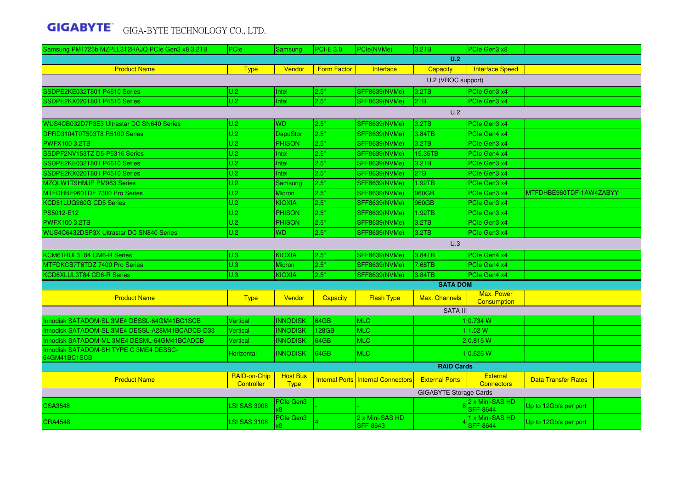| Samsung PM1725b MZPLL3T2HAJQ PCIe Gen3 x8 3.2TB | PCIe                       | Samsung                        | <b>PCI-E 3.0</b>   | PCle(NVMe)                                | 3.2TB                         | PCIe Gen3 x8                         |                            |  |
|-------------------------------------------------|----------------------------|--------------------------------|--------------------|-------------------------------------------|-------------------------------|--------------------------------------|----------------------------|--|
|                                                 |                            |                                |                    |                                           | U.2                           |                                      |                            |  |
| <b>Product Name</b>                             | <b>Type</b>                | Vendor                         | <b>Form Factor</b> | Interface                                 | Capacity                      | <b>Interface Speed</b>               |                            |  |
|                                                 |                            |                                |                    |                                           | U.2 (VROC support)            |                                      |                            |  |
| SSDPE2KE032T801 P4610 Series                    | U.2                        | Intel                          | 2.5"               | SFF8639(NVMe)                             | 3.2TB                         | PCIe Gen3 x4                         |                            |  |
| SSDPE2KX020T801 P4510 Series                    | U.2                        | Intel                          | 2.5"               | <b>SFF8639(NVMe)</b>                      | 2TB                           | PCIe Gen3 x4                         |                            |  |
|                                                 |                            |                                |                    |                                           | U.2                           |                                      |                            |  |
| WUS4CB032D7P3E3 Ultrastar DC SN640 Series       | U.2                        | WD.                            | 2.5"               | SFF8639(NVMe)                             | 3.2TB                         | PCle Gen3 x4                         |                            |  |
| DPRD3104T0T503T8 R5100 Series                   | U.2                        | <b>DapuStor</b>                | 2.5"               | <b>SFF8639(NVMe)</b>                      | 3.84TB                        | PCIe Gen4 x4                         |                            |  |
| <b>PWFX100 3.2TB</b>                            | U.2                        | <b>PHISON</b>                  | 2.5"               | <b>SFF8639(NVMe)</b>                      | 3.2TB                         | PCIe Gen3 x4                         |                            |  |
| SSDPF2NV153TZ D5-P5316 Series                   | U.2                        | Intel                          | 2.5"               | <b>SFF8639(NVMe)</b>                      | 15.35TB                       | PCIe Gen4 x4                         |                            |  |
| SSDPE2KE032T801 P4610 Series                    | U.2                        | Intel                          | 2.5"               | <b>SFF8639(NVMe)</b>                      | 3.2TB                         | PCIe Gen3 x4                         |                            |  |
| SSDPE2KX020T801 P4510 Series                    | U.2                        | Intel                          | 2.5"               | SFF8639(NVMe)                             | 2TB                           | PCIe Gen3 x4                         |                            |  |
| MZQLW1T9HMJP PM963 Series                       | U.2                        | Samsung                        | 2.5"               | SFF8639(NVMe)                             | 1.92TB                        | PCIe Gen3 x4                         |                            |  |
| MTFDHBE960TDF 7300 Pro Series                   | U.2                        | Micron                         | 2.5"               | <b>SFF8639(NVMe)</b>                      | 960GB                         | PCIe Gen3 x4                         | MTFDHBE960TDF-1AW4ZABYY    |  |
| KCD51LUG960G CD5 Series                         | U.2                        | <b>KIOXIA</b>                  | 2.5"               | SFF8639(NVMe)                             | 960GB                         | PCIe Gen3 x4                         |                            |  |
| PS5012-E12                                      | U.2                        | <b>PHISON</b>                  | 2.5"               | SFF8639(NVMe)                             | 1.92TB                        | PCIe Gen3 x4                         |                            |  |
| <b>PWFX100 3.2TB</b>                            | U.2                        | <b>PHISON</b>                  | 2.5"               | SFF8639(NVMe)                             | 3.2TB                         | PCIe Gen3 x4                         |                            |  |
| WUS4C6432DSP3X Ultrastar DC SN840 Series        | U.2                        | WD.                            | 2.5"               | SFF8639(NVMe)                             | 3.2TB                         | PCIe Gen3 x4                         |                            |  |
|                                                 |                            |                                |                    |                                           | U.3                           |                                      |                            |  |
| KCM61RUL3T84 CM6-R Series                       | U.3                        | KIOXIA                         | 2.5"               | SFF8639(NVMe)                             | 3.84TB                        | PCIe Gen4 x4                         |                            |  |
| MTFDKCB7T6TDZ 7400 Pro Series                   | U.3                        | <b>Micron</b>                  | 2.5"               | SFF8639(NVMe)                             | 7.68TB                        | PCIe Gen4 x4                         |                            |  |
| KCD6XLUL3T84 CD6-R Series                       | U.3                        | KIOXIA                         | 2.5"               | <b>SFF8639(NVMe)</b>                      | 3.84TB                        | PCIe Gen4 x4                         |                            |  |
|                                                 |                            |                                |                    |                                           | <b>SATA DOM</b>               |                                      |                            |  |
| <b>Product Name</b>                             | <b>Type</b>                | Vendor                         | <b>Capacity</b>    | <b>Flash Type</b>                         | <b>Max. Channels</b>          | <b>Max. Power</b><br>Consumption     |                            |  |
|                                                 |                            |                                |                    |                                           | <b>SATA III</b>               |                                      |                            |  |
| Innodisk SATADOM-SL 3ME4 DESSL-64GM41BC1SCB     | <b>Vertical</b>            | <b>INNODISK</b>                | 64GB               | <b>MLC</b>                                |                               | 1 0.734 W                            |                            |  |
| Innodisk SATADOM-SL 3ME4 DESSL-A28M41BCADCB-D33 | Vertical                   | <b>INNODISK</b>                | 128GB              | <b>MLC</b>                                |                               | 11.02 W                              |                            |  |
| Innodisk SATADOM-ML 3ME4 DESML-64GM41BCADCB     | Vertical                   | <b>INNODISK</b>                | 64GB               | <b>MLC</b>                                |                               | 2 0.815 W                            |                            |  |
| Innodisk SATADOM-SH TYPE C 3ME4 DESSC-          |                            |                                |                    |                                           |                               |                                      |                            |  |
| 64GM41BC1SCB                                    | Horizontal                 | <b>INNODISK</b>                | 64GB               | MLC                                       |                               | 1 0.626 W                            |                            |  |
|                                                 |                            |                                |                    |                                           | <b>RAID Cards</b>             |                                      |                            |  |
| <b>Product Name</b>                             | RAID-on-Chip<br>Controller | <b>Host Bus</b><br><b>Type</b> |                    | <b>Internal Ports Internal Connectors</b> | <b>External Ports</b>         | <b>External</b><br><b>Connectors</b> | <b>Data Transfer Rates</b> |  |
|                                                 |                            |                                |                    |                                           | <b>GIGABYTE Storage Cards</b> |                                      |                            |  |
| <b>CSA3548</b>                                  | <b>LSI SAS 3008</b>        | <b>PCIe Gen3</b>               |                    |                                           |                               | 2 x Mini-SAS HD<br><b>SFF-8644</b>   | Up to 12Gb/s per port      |  |
| <b>CRA4548</b>                                  | <b>LSI SAS 3108</b>        | PCIe Gen3                      |                    | 2 x Mini-SAS HD<br><b>SFF-8643</b>        |                               | 1 x Mini-SAS HD<br><b>SFF-8644</b>   | Up to 12Gb/s per port      |  |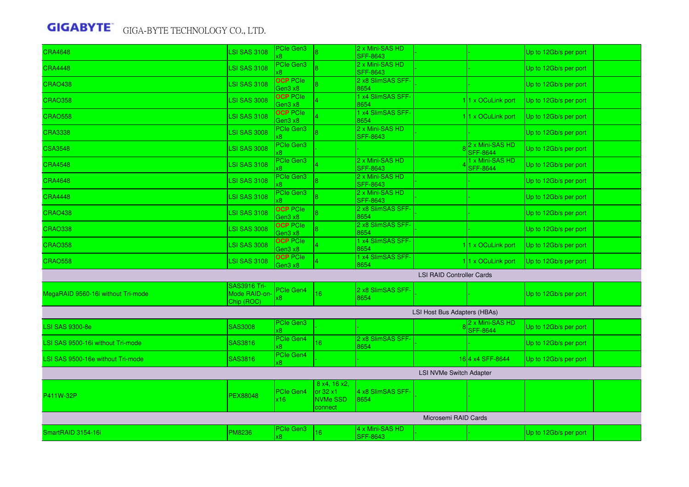|                                    |                                                    | <b>PCIe Gen3</b>           |                                                                | 2 x Mini-SAS HD                    |                                  |                                    |                       |  |  |
|------------------------------------|----------------------------------------------------|----------------------------|----------------------------------------------------------------|------------------------------------|----------------------------------|------------------------------------|-----------------------|--|--|
| <b>CRA4648</b>                     | <b>LSI SAS 3108</b>                                |                            |                                                                | <b>SFF-8643</b>                    |                                  |                                    | Up to 12Gb/s per port |  |  |
| <b>CRA4448</b>                     | <b>LSI SAS 3108</b>                                | PCIe Gen3                  |                                                                | 2 x Mini-SAS HD<br><b>SFF-8643</b> |                                  |                                    | Up to 12Gb/s per port |  |  |
| <b>CRAO438</b>                     | <b>LSI SAS 3108</b>                                | <b>OCP PCIe</b><br>Gen3 x8 |                                                                | 2 x8 SlimSAS SFF-<br>8654          |                                  |                                    | Up to 12Gb/s per port |  |  |
| <b>CRAO358</b>                     | <b>LSI SAS 3008</b>                                | <b>OCP</b> PCIe<br>Gen3 x8 |                                                                | 1 x4 SlimSAS SFF-<br>8654          |                                  | 11 x OCuLink port                  | Up to 12Gb/s per port |  |  |
| <b>CRAO558</b>                     | <b>LSI SAS 3108</b>                                | <b>OCP PCIe</b><br>Gen3 x8 |                                                                | 1 x4 SlimSAS SFF-<br>8654          |                                  | 11 x OCuLink port                  | Up to 12Gb/s per port |  |  |
| <b>CRA3338</b>                     | <b>LSI SAS 3008</b>                                | <b>PCIe Gen3</b>           |                                                                | 2 x Mini-SAS HD<br><b>SFF-8643</b> |                                  |                                    | Up to 12Gb/s per port |  |  |
| <b>CSA3548</b>                     | <b>LSI SAS 3008</b>                                | <b>PCIe Gen3</b><br>8      |                                                                |                                    |                                  | 2 x Mini-SAS HD<br><b>SFF-8644</b> | Up to 12Gb/s per port |  |  |
| <b>CRA4548</b>                     | <b>LSI SAS 3108</b>                                | <b>PCIe Gen3</b>           |                                                                | 2 x Mini-SAS HD<br><b>SFF-8643</b> |                                  | 1 x Mini-SAS HD<br><b>SFF-8644</b> | Up to 12Gb/s per port |  |  |
| <b>CRA4648</b>                     | <b>LSI SAS 3108</b>                                | PCIe Gen3                  |                                                                | 2 x Mini-SAS HD<br><b>SFF-8643</b> |                                  |                                    | Up to 12Gb/s per port |  |  |
| <b>CRA4448</b>                     | <b>LSI SAS 3108</b>                                | <b>PCIe Gen3</b>           |                                                                | 2 x Mini-SAS HD<br><b>SFF-8643</b> |                                  |                                    | Up to 12Gb/s per port |  |  |
| <b>CRAO438</b>                     | <b>LSI SAS 3108</b>                                | <b>OCP</b> PCIe<br>Gen3 x8 |                                                                | 2 x8 SlimSAS SFF-<br>8654          |                                  |                                    | Up to 12Gb/s per port |  |  |
| <b>CRAO338</b>                     | <b>LSI SAS 3008</b>                                | <b>OCP PCIe</b><br>Gen3 x8 |                                                                | 2 x8 SlimSAS SFF-<br>8654          |                                  |                                    | Up to 12Gb/s per port |  |  |
| <b>CRAO358</b>                     | <b>LSI SAS 3008</b>                                | <b>OCP PCIe</b><br>Gen3 x8 |                                                                | 1 x4 SlimSAS SFF-<br>8654          |                                  | 11 x OCuLink port                  | Up to 12Gb/s per port |  |  |
| <b>CRAO558</b>                     | <b>LSI SAS 3108</b>                                | <b>OCP PCIe</b><br>Gen3 x8 |                                                                | 1 x4 SlimSAS SFF-<br>8654          |                                  | 11 x OCuLink port                  | Up to 12Gb/s per port |  |  |
|                                    |                                                    |                            |                                                                |                                    | <b>LSI RAID Controller Cards</b> |                                    |                       |  |  |
| MegaRAID 9560-16i without Tri-mode | <b>SAS3916 Tri-</b><br>Mode RAID-on-<br>Chip (ROC) | PCIe Gen4                  | 16                                                             | 2 x8 SlimSAS SFF<br>8654           |                                  |                                    | Up to 12Gb/s per port |  |  |
|                                    |                                                    |                            |                                                                |                                    | LSI Host Bus Adapters (HBAs)     |                                    |                       |  |  |
| <b>LSI SAS 9300-8e</b>             | <b>SAS3008</b>                                     | <b>PCIe Gen3</b><br>κ8     |                                                                |                                    |                                  | 2 x Mini-SAS HD<br><b>SFF-8644</b> | Up to 12Gb/s per port |  |  |
| LSI SAS 9500-16i without Tri-mode  | <b>SAS3816</b>                                     | PCIe Gen4<br>x8            | 16                                                             | 2 x8 SlimSAS SFF<br>8654           |                                  |                                    | Up to 12Gb/s per port |  |  |
| LSI SAS 9500-16e without Tri-mode  | SAS3816                                            | PCIe Gen4<br>κ8.           |                                                                |                                    |                                  | 164 x4 SFF-8644                    | Up to 12Gb/s per port |  |  |
| <b>LSI NVMe Switch Adapter</b>     |                                                    |                            |                                                                |                                    |                                  |                                    |                       |  |  |
| P411W-32P                          | <b>PEX88048</b>                                    | <b>PCle Gen4</b><br>x16    | 8 x4, 16 x2.<br>or $32 \times 1$<br><b>NVMe SSD</b><br>connect | 4 x8 SlimSAS SFF-<br>8654          |                                  |                                    |                       |  |  |
| Microsemi RAID Cards               |                                                    |                            |                                                                |                                    |                                  |                                    |                       |  |  |
| SmartRAID 3154-16i                 | <b>PM8236</b>                                      | <b>PCIe Gen3</b><br>κ8     | 16                                                             | 4 x Mini-SAS HD<br><b>SFF-8643</b> |                                  |                                    | Up to 12Gb/s per port |  |  |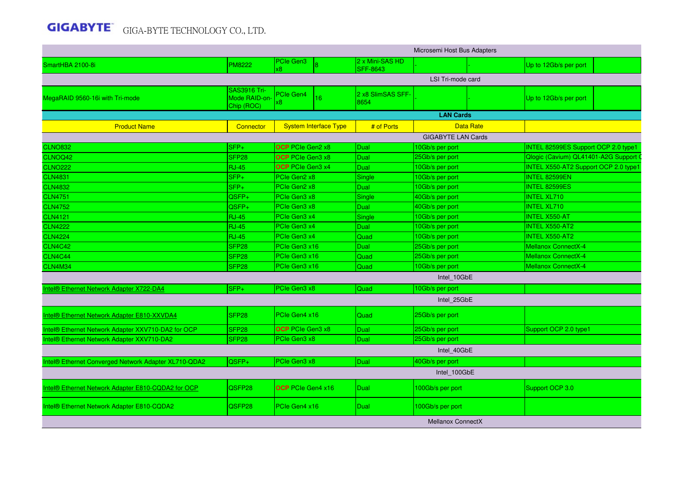|                                                      |                                                    |                          |                              |                                    | Microsemi Host Bus Adapters |                  |                                            |
|------------------------------------------------------|----------------------------------------------------|--------------------------|------------------------------|------------------------------------|-----------------------------|------------------|--------------------------------------------|
| SmartHBA 2100-8i                                     | <b>PM8222</b>                                      | PCIe Gen3                |                              | 2 x Mini-SAS HD<br><b>SFF-8643</b> |                             |                  | Up to 12Gb/s per port                      |
|                                                      |                                                    |                          |                              |                                    | LSI Tri-mode card           |                  |                                            |
| MegaRAID 9560-16i with Tri-mode                      | <b>SAS3916 Tri-</b><br>Mode RAID-on-<br>Chip (ROC) | PCIe Gen4<br>x8.         | 16                           | 2 x8 SlimSAS SFF-<br>8654          |                             |                  | Up to 12Gb/s per port                      |
|                                                      |                                                    |                          |                              |                                    | <b>LAN Cards</b>            |                  |                                            |
| <b>Product Name</b>                                  | <b>Connector</b>                                   |                          | <b>System Interface Type</b> | # of Ports                         |                             | <b>Data Rate</b> |                                            |
|                                                      |                                                    |                          |                              |                                    | <b>GIGABYTE LAN Cards</b>   |                  |                                            |
| <b>CLNO832</b>                                       | $SFP+$                                             | <b>OCP</b> PCIe Gen2 x8  |                              | Dual                               | 10Gb/s per port             |                  | <b>INTEL 82599ES Support OCP 2.0 type1</b> |
| CLNOQ42                                              | SFP <sub>28</sub>                                  | <b>OCP</b> PCIe Gen3 x8  |                              | Dual                               | 25Gb/s per port             |                  | Qlogic (Cavium) QL41401-A2G Support        |
| <b>CLNO222</b>                                       | <b>RJ-45</b>                                       | OCP PCIe Gen3 x4         |                              | <b>Dual</b>                        | 10Gb/s per port             |                  | INTEL X550-AT2 Support OCP 2.0 type        |
| <b>CLN4831</b>                                       | $SFP+$                                             | PCIe Gen2 x8             |                              | Single                             | 10Gb/s per port             |                  | INTEL 82599EN                              |
| <b>CLN4832</b>                                       | $SFP+$                                             | PCIe Gen2 x8             |                              | <b>Dual</b>                        | 10Gb/s per port             |                  | <b>INTEL 82599ES</b>                       |
| <b>CLN4751</b>                                       | QSFP+                                              | PCIe Gen3 x8             |                              | Single                             | 40Gb/s per port             |                  | <b>INTEL XL710</b>                         |
| <b>CLN4752</b>                                       | QSFP+                                              | PCIe Gen3 x8             |                              | <b>Dual</b>                        | 40Gb/s per port             |                  | <b>INTEL XL710</b>                         |
| <b>CLN4121</b>                                       | <b>RJ-45</b>                                       | PCIe Gen3 x4             |                              | Single                             | 10Gb/s per port             |                  | <b>INTEL X550-AT</b>                       |
| <b>CLN4222</b>                                       | $RJ-45$                                            | PCIe Gen3 x4             |                              | <b>Dual</b>                        | 10Gb/s per port             |                  | <b>INTEL X550-AT2</b>                      |
| <b>CLN4224</b>                                       | <b>RJ-45</b>                                       | PCIe Gen3 x4             |                              | Quad                               | 10Gb/s per port             |                  | INTEL X550-AT2                             |
| <b>CLN4C42</b>                                       | SFP <sub>28</sub>                                  | PCIe Gen3 x16            |                              | <b>Dual</b>                        | 25Gb/s per port             |                  | Mellanox ConnectX-4                        |
| <b>CLN4C44</b>                                       | SFP <sub>28</sub>                                  | PCIe Gen3 x16            |                              | Quad                               | 25Gb/s per port             |                  | <b>Mellanox ConnectX-4</b>                 |
| <b>CLN4M34</b>                                       | SFP <sub>28</sub>                                  | PCIe Gen3 x16            |                              | Quad                               | 10Gb/s per port             |                  | <b>Mellanox ConnectX-4</b>                 |
|                                                      |                                                    |                          |                              |                                    | Intel 10GbE                 |                  |                                            |
| Intel® Ethernet Network Adapter X722-DA4             | $\overline{\text{SFP}_{+}}$                        | PCIe Gen3 x8             |                              | Quad                               | 10Gb/s per port             |                  |                                            |
|                                                      |                                                    |                          |                              |                                    | Intel_25GbE                 |                  |                                            |
| Intel® Ethernet Network Adapter E810-XXVDA4          | SFP <sub>28</sub>                                  | PCIe Gen4 x16            |                              | Quad                               | 25Gb/s per port             |                  |                                            |
| Intel® Ethernet Network Adapter XXV710-DA2 for OCP   | SFP <sub>28</sub>                                  | <b>OCP</b> PCIe Gen3 x8  |                              | Dual                               | 25Gb/s per port             |                  | Support OCP 2.0 type1                      |
| Intel® Ethernet Network Adapter XXV710-DA2           | SFP <sub>28</sub>                                  | PCIe Gen3 x8             |                              | Dual                               | 25Gb/s per port             |                  |                                            |
|                                                      |                                                    |                          |                              |                                    | Intel 40GbE                 |                  |                                            |
| Intel® Ethernet Converged Network Adapter XL710-QDA2 | QSFP+                                              | PCIe Gen3 x8             |                              | Dual                               | 40Gb/s per port             |                  |                                            |
|                                                      |                                                    |                          |                              |                                    | Intel 100GbE                |                  |                                            |
| Intel® Ethernet Network Adapter E810-CQDA2 for OCP   | QSFP28                                             | <b>OCP</b> PCIe Gen4 x16 |                              | Dual                               | 100Gb/s per port            |                  | Support OCP 3.0                            |
| Intel® Ethernet Network Adapter E810-CQDA2           | QSFP28                                             | PCIe Gen4 x16            |                              | Dual                               | 100Gb/s per port            |                  |                                            |
|                                                      |                                                    |                          |                              |                                    | <b>Mellanox ConnectX</b>    |                  |                                            |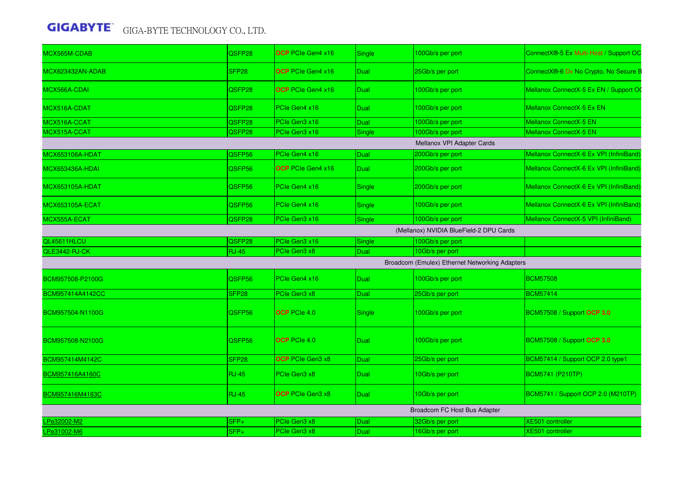| SFP <sub>28</sub><br><b>OCP</b> PCIe Gen4 x16<br>Dual<br>25Gb/s per port<br><b>OCP</b> PCIe Gen4 x16<br>QSFP28<br>100Gb/s per port<br>Dual<br>Mellanox ConnectX-5 Ex EN<br>QSFP28<br>PCIe Gen4 x16<br>100Gb/s per port<br>Dual<br>PCIe Gen3 x16<br><b>Mellanox ConnectX-5 EN</b><br>100Gb/s per port<br>QSFP28<br>Dual<br>PCIe Gen3 x16<br>100Gb/s per port<br><b>Mellanox ConnectX-5 EN</b><br>QSFP28<br>Single<br>Mellanox VPI Adapter Cards<br>PCIe Gen4 x16<br>200Gb/s per port<br>QSFP56<br>Dual<br>QSFP56<br><b>OCP</b> PCIe Gen4 x16<br>200Gb/s per port<br><b>Dual</b><br>QSFP56<br>PCIe Gen4 x16<br>200Gb/s per port<br><b>Single</b><br>QSFP56<br>PCIe Gen4 x16<br>100Gb/s per port<br><b>Single</b><br>PCIe Gen3 x16<br>100Gb/s per port<br>Mellanox ConnectX-5 VPI (InfiniBand)<br>QSFP28<br>Single<br>(Mellanox) NVIDIA BlueField-2 DPU Cards<br>PCIe Gen3 x16<br>100Gb/s per port<br>QSFP28<br>Single<br>PCIe Gen3 x8<br>10Gb/s per port<br>$RJ-45$<br>Dual<br>Broadcom (Emulex) Ethernet Networking Adapters<br><b>BCM57508</b><br>QSFP56<br>PCIe Gen4 x16<br>100Gb/s per port<br><b>Dual</b><br><b>BCM57414</b><br>SFP <sub>28</sub><br>PCIe Gen3 x8<br>25Gb/s per port<br>Dual<br>BCM57508 / Support OCP 3.0<br><b>OCP</b> PCIe 4.0<br>100Gb/s per port<br>QSFP56<br>Single<br><b>OCP</b> PCIe 4.0<br>100Gb/s per port<br>BCM57508 / Support OCP 3.0<br>QSFP56<br>Dual<br>BCM57414 / Support OCP 2.0 type1<br>SFP <sub>28</sub><br><b>OCP</b> PCIe Gen3 x8<br>25Gb/s per port<br>Dual<br><b>RJ-45</b><br><b>BCM5741 (P210TP)</b><br>PCIe Gen3 x8<br>Dual<br>10Gb/s per port<br><b>RJ-45</b><br><b>OCP</b> PCIe Gen3 x8<br>10Gb/s per port<br>BCM5741 / Support OCP 2.0 (M210TP)<br>Dual<br>Broadcom FC Host Bus Adapter<br>PCIe Gen3 x8<br>32Gb/s per port<br><b>XE501</b> controller<br>Pe32002-M2<br>SFP+<br>Dual<br>SFP+<br>PCIe Gen3 x8<br>16Gb/s per port<br><b>XE501</b> controller<br>Dual | MCX565M-CDAB           | QSFP28 | <b>OCP</b> PCIe Gen4 x16 | <b>Single</b> | 100Gb/s per port | ConnectX®-5 Ex Multi-Host / Support OC  |
|--------------------------------------------------------------------------------------------------------------------------------------------------------------------------------------------------------------------------------------------------------------------------------------------------------------------------------------------------------------------------------------------------------------------------------------------------------------------------------------------------------------------------------------------------------------------------------------------------------------------------------------------------------------------------------------------------------------------------------------------------------------------------------------------------------------------------------------------------------------------------------------------------------------------------------------------------------------------------------------------------------------------------------------------------------------------------------------------------------------------------------------------------------------------------------------------------------------------------------------------------------------------------------------------------------------------------------------------------------------------------------------------------------------------------------------------------------------------------------------------------------------------------------------------------------------------------------------------------------------------------------------------------------------------------------------------------------------------------------------------------------------------------------------------------------------------------------------------------------------------------------------------------------------------|------------------------|--------|--------------------------|---------------|------------------|-----------------------------------------|
|                                                                                                                                                                                                                                                                                                                                                                                                                                                                                                                                                                                                                                                                                                                                                                                                                                                                                                                                                                                                                                                                                                                                                                                                                                                                                                                                                                                                                                                                                                                                                                                                                                                                                                                                                                                                                                                                                                                    | MCX623432AN-ADAB       |        |                          |               |                  | ConnectX®-6 Dx No Crypto, No Secure B   |
|                                                                                                                                                                                                                                                                                                                                                                                                                                                                                                                                                                                                                                                                                                                                                                                                                                                                                                                                                                                                                                                                                                                                                                                                                                                                                                                                                                                                                                                                                                                                                                                                                                                                                                                                                                                                                                                                                                                    | MCX566A-CDAI           |        |                          |               |                  | Mellanox ConnectX-5 Ex EN / Support OO  |
|                                                                                                                                                                                                                                                                                                                                                                                                                                                                                                                                                                                                                                                                                                                                                                                                                                                                                                                                                                                                                                                                                                                                                                                                                                                                                                                                                                                                                                                                                                                                                                                                                                                                                                                                                                                                                                                                                                                    | MCX516A-CDAT           |        |                          |               |                  |                                         |
|                                                                                                                                                                                                                                                                                                                                                                                                                                                                                                                                                                                                                                                                                                                                                                                                                                                                                                                                                                                                                                                                                                                                                                                                                                                                                                                                                                                                                                                                                                                                                                                                                                                                                                                                                                                                                                                                                                                    | MCX516A-CCAT           |        |                          |               |                  |                                         |
|                                                                                                                                                                                                                                                                                                                                                                                                                                                                                                                                                                                                                                                                                                                                                                                                                                                                                                                                                                                                                                                                                                                                                                                                                                                                                                                                                                                                                                                                                                                                                                                                                                                                                                                                                                                                                                                                                                                    | MCX515A-CCAT           |        |                          |               |                  |                                         |
|                                                                                                                                                                                                                                                                                                                                                                                                                                                                                                                                                                                                                                                                                                                                                                                                                                                                                                                                                                                                                                                                                                                                                                                                                                                                                                                                                                                                                                                                                                                                                                                                                                                                                                                                                                                                                                                                                                                    |                        |        |                          |               |                  |                                         |
|                                                                                                                                                                                                                                                                                                                                                                                                                                                                                                                                                                                                                                                                                                                                                                                                                                                                                                                                                                                                                                                                                                                                                                                                                                                                                                                                                                                                                                                                                                                                                                                                                                                                                                                                                                                                                                                                                                                    | <b>MCX653106A-HDAT</b> |        |                          |               |                  | Mellanox ConnectX-6 Ex VPI (InfiniBand  |
|                                                                                                                                                                                                                                                                                                                                                                                                                                                                                                                                                                                                                                                                                                                                                                                                                                                                                                                                                                                                                                                                                                                                                                                                                                                                                                                                                                                                                                                                                                                                                                                                                                                                                                                                                                                                                                                                                                                    | MCX653436A-HDAI        |        |                          |               |                  | Mellanox ConnectX-6 Ex VPI (InfiniBand) |
|                                                                                                                                                                                                                                                                                                                                                                                                                                                                                                                                                                                                                                                                                                                                                                                                                                                                                                                                                                                                                                                                                                                                                                                                                                                                                                                                                                                                                                                                                                                                                                                                                                                                                                                                                                                                                                                                                                                    | MCX653105A-HDAT        |        |                          |               |                  | Mellanox ConnectX-6 Ex VPI (InfiniBand) |
|                                                                                                                                                                                                                                                                                                                                                                                                                                                                                                                                                                                                                                                                                                                                                                                                                                                                                                                                                                                                                                                                                                                                                                                                                                                                                                                                                                                                                                                                                                                                                                                                                                                                                                                                                                                                                                                                                                                    | <b>MCX653105A-ECAT</b> |        |                          |               |                  | Mellanox ConnectX-6 Ex VPI (InfiniBand) |
|                                                                                                                                                                                                                                                                                                                                                                                                                                                                                                                                                                                                                                                                                                                                                                                                                                                                                                                                                                                                                                                                                                                                                                                                                                                                                                                                                                                                                                                                                                                                                                                                                                                                                                                                                                                                                                                                                                                    | MCX555A-ECAT           |        |                          |               |                  |                                         |
|                                                                                                                                                                                                                                                                                                                                                                                                                                                                                                                                                                                                                                                                                                                                                                                                                                                                                                                                                                                                                                                                                                                                                                                                                                                                                                                                                                                                                                                                                                                                                                                                                                                                                                                                                                                                                                                                                                                    |                        |        |                          |               |                  |                                         |
|                                                                                                                                                                                                                                                                                                                                                                                                                                                                                                                                                                                                                                                                                                                                                                                                                                                                                                                                                                                                                                                                                                                                                                                                                                                                                                                                                                                                                                                                                                                                                                                                                                                                                                                                                                                                                                                                                                                    | QL45611HLCU            |        |                          |               |                  |                                         |
|                                                                                                                                                                                                                                                                                                                                                                                                                                                                                                                                                                                                                                                                                                                                                                                                                                                                                                                                                                                                                                                                                                                                                                                                                                                                                                                                                                                                                                                                                                                                                                                                                                                                                                                                                                                                                                                                                                                    | QLE3442-RJ-CK          |        |                          |               |                  |                                         |
|                                                                                                                                                                                                                                                                                                                                                                                                                                                                                                                                                                                                                                                                                                                                                                                                                                                                                                                                                                                                                                                                                                                                                                                                                                                                                                                                                                                                                                                                                                                                                                                                                                                                                                                                                                                                                                                                                                                    |                        |        |                          |               |                  |                                         |
|                                                                                                                                                                                                                                                                                                                                                                                                                                                                                                                                                                                                                                                                                                                                                                                                                                                                                                                                                                                                                                                                                                                                                                                                                                                                                                                                                                                                                                                                                                                                                                                                                                                                                                                                                                                                                                                                                                                    | BCM957508-P2100G       |        |                          |               |                  |                                         |
|                                                                                                                                                                                                                                                                                                                                                                                                                                                                                                                                                                                                                                                                                                                                                                                                                                                                                                                                                                                                                                                                                                                                                                                                                                                                                                                                                                                                                                                                                                                                                                                                                                                                                                                                                                                                                                                                                                                    | BCM957414A4142CC       |        |                          |               |                  |                                         |
|                                                                                                                                                                                                                                                                                                                                                                                                                                                                                                                                                                                                                                                                                                                                                                                                                                                                                                                                                                                                                                                                                                                                                                                                                                                                                                                                                                                                                                                                                                                                                                                                                                                                                                                                                                                                                                                                                                                    | BCM957504-N1100G       |        |                          |               |                  |                                         |
|                                                                                                                                                                                                                                                                                                                                                                                                                                                                                                                                                                                                                                                                                                                                                                                                                                                                                                                                                                                                                                                                                                                                                                                                                                                                                                                                                                                                                                                                                                                                                                                                                                                                                                                                                                                                                                                                                                                    | BCM957508-N2100G       |        |                          |               |                  |                                         |
|                                                                                                                                                                                                                                                                                                                                                                                                                                                                                                                                                                                                                                                                                                                                                                                                                                                                                                                                                                                                                                                                                                                                                                                                                                                                                                                                                                                                                                                                                                                                                                                                                                                                                                                                                                                                                                                                                                                    | BCM957414M4142C        |        |                          |               |                  |                                         |
|                                                                                                                                                                                                                                                                                                                                                                                                                                                                                                                                                                                                                                                                                                                                                                                                                                                                                                                                                                                                                                                                                                                                                                                                                                                                                                                                                                                                                                                                                                                                                                                                                                                                                                                                                                                                                                                                                                                    | BCM957416A4160C        |        |                          |               |                  |                                         |
|                                                                                                                                                                                                                                                                                                                                                                                                                                                                                                                                                                                                                                                                                                                                                                                                                                                                                                                                                                                                                                                                                                                                                                                                                                                                                                                                                                                                                                                                                                                                                                                                                                                                                                                                                                                                                                                                                                                    | BCM957416M4163C        |        |                          |               |                  |                                         |
|                                                                                                                                                                                                                                                                                                                                                                                                                                                                                                                                                                                                                                                                                                                                                                                                                                                                                                                                                                                                                                                                                                                                                                                                                                                                                                                                                                                                                                                                                                                                                                                                                                                                                                                                                                                                                                                                                                                    |                        |        |                          |               |                  |                                         |
|                                                                                                                                                                                                                                                                                                                                                                                                                                                                                                                                                                                                                                                                                                                                                                                                                                                                                                                                                                                                                                                                                                                                                                                                                                                                                                                                                                                                                                                                                                                                                                                                                                                                                                                                                                                                                                                                                                                    |                        |        |                          |               |                  |                                         |
|                                                                                                                                                                                                                                                                                                                                                                                                                                                                                                                                                                                                                                                                                                                                                                                                                                                                                                                                                                                                                                                                                                                                                                                                                                                                                                                                                                                                                                                                                                                                                                                                                                                                                                                                                                                                                                                                                                                    | LPe31002-M6            |        |                          |               |                  |                                         |